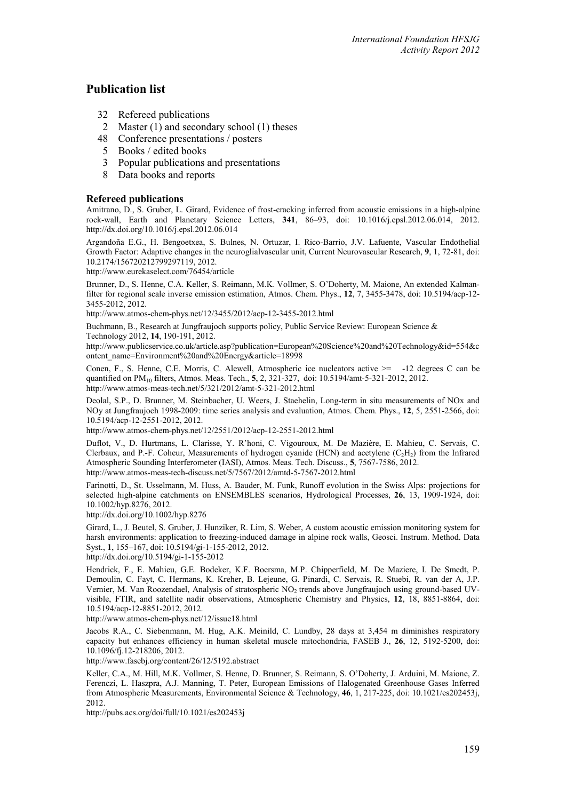# **Publication list**

- 32 Refereed publications
- 2 Master (1) and secondary school (1) theses
- 48 Conference presentations / posters
- 5 Books / edited books<br>3 Popular publications
- 3 Popular publications and presentations<br>8 Data books and reports
- Data books and reports

# **Refereed publications**

Amitrano, D., S. Gruber, L. Girard, Evidence of frost-cracking inferred from acoustic emissions in a high-alpine rock-wall, Earth and Planetary Science Letters, **341**, 86–93, doi: 10.1016/j.epsl.2012.06.014, 2012. http://dx.doi.org/10.1016/j.epsl.2012.06.014

Argandoña E.G., H. Bengoetxea, S. Bulnes, N. Ortuzar, I. Rico-Barrio, J.V. Lafuente, Vascular Endothelial Growth Factor: Adaptive changes in the neuroglialvascular unit, Current Neurovascular Research, **9**, 1, 72-81, doi: [10.2174/156720212799297119,](http://dx.doi.org/10.2174/156720212799297119) 2012.

<http://www.eurekaselect.com/76454/article>

Brunner, D., S. Henne, C.A. Keller, S. Reimann, M.K. Vollmer, S. O'Doherty, M. Maione, An extended Kalmanfilter for regional scale inverse emission estimation, Atmos. Chem. Phys., **12**, 7, 3455-3478, doi: 10.5194/acp-12- 3455-2012, 2012.

http://www.atmos-chem-phys.net/12/3455/2012/acp-12-3455-2012.html

Buchmann, B., Research at Jungfraujoch supports policy, Public Service Review: European Science & Technology 2012, **14**, 190-191, 2012.

http://www.publicservice.co.uk/article.asp?publication=European%20Science%20and%20Technology&id=554&c ontent\_name=Environment%20and%20Energy&article=18998

Conen, F., S. Henne, C.E. Morris, C. Alewell, Atmospheric ice nucleators active >= -12 degrees C can be quantified on PM10 filters, Atmos. Meas. Tech., **5**, 2, 321-327, doi: 10.5194/amt-5-321-2012, 2012. http://www.atmos-meas-tech.net/5/321/2012/amt-5-321-2012.html

Deolal, S.P., D. Brunner, M. Steinbacher, U. Weers, J. Staehelin, Long-term in situ measurements of NOx and NOy at Jungfraujoch 1998-2009: time series analysis and evaluation, Atmos. Chem. Phys., **12**, 5, 2551-2566, doi: 10.5194/acp-12-2551-2012, 2012.

http://www.atmos-chem-phys.net/12/2551/2012/acp-12-2551-2012.html

Duflot, V., D. Hurtmans, L. Clarisse, Y. R'honi, C. Vigouroux, M. De Mazière, E. Mahieu, C. Servais, C. Clerbaux, and P.-F. Coheur, Measurements of hydrogen cyanide (HCN) and acetylene  $(C_2H_2)$  from the Infrared Atmospheric Sounding Interferometer (IASI), Atmos. Meas. Tech. Discuss., **5**, 7567-7586, 2012. http://www.atmos-meas-tech-discuss.net/5/7567/2012/amtd-5-7567-2012.html

Farinotti, D., St. Usselmann, M. Huss, A. Bauder, M. Funk, Runoff evolution in the Swiss Alps: projections for selected high-alpine catchments on ENSEMBLES scenarios, Hydrological Processes, **26**, 13, 1909-1924, doi: 10.1002/hyp.8276, 2012.

http://dx.doi.org/10.1002/hyp.8276

Girard, L., J. Beutel, S. Gruber, J. Hunziker, R. Lim, S. Weber, A custom acoustic emission monitoring system for harsh environments: application to freezing-induced damage in alpine rock walls, Geosci. Instrum. Method. Data Syst., **1**, 155–167, doi: 10.5194/gi-1-155-2012, 2012.

http://dx.doi.org/10.5194/gi-1-155-2012

Hendrick, F., E. Mahieu, G.E. Bodeker, K.F. Boersma, M.P. Chipperfield, M. De Maziere, I. De Smedt, P. Demoulin, C. Fayt, C. Hermans, K. Kreher, B. Lejeune, G. Pinardi, C. Servais, R. Stuebi, R. van der A, J.P. Vernier, M. Van Roozendael, Analysis of stratospheric NO<sub>2</sub> trends above Jungfraujoch using ground-based UVvisible, FTIR, and satellite nadir observations, Atmospheric Chemistry and Physics, **12**, 18, 8851-8864, doi: 10.5194/acp-12-8851-2012, 2012.

http://www.atmos-chem-phys.net/12/issue18.html

Jacobs R.A., C. Siebenmann, M. Hug, A.K. Meinild, C. Lundby, 28 days at 3,454 m diminishes respiratory capacity but enhances efficiency in human skeletal muscle mitochondria, FASEB J., **26**, 12, 5192-5200, doi: 10.1096/fj.12-218206, 2012.

http://www.fasebj.org/content/26/12/5192.abstract

Keller, C.A., M. Hill, M.K. Vollmer, S. Henne, D. Brunner, S. Reimann, S. O'Doherty, J. Arduini, M. Maione, Z. Ferenczi, L. Haszpra, A.J. Manning, T. Peter, European Emissions of Halogenated Greenhouse Gases Inferred from Atmospheric Measurements, Environmental Science & Technology, **46**, 1, 217-225, doi: 10.1021/es202453j, 2012.

http://pubs.acs.org/doi/full/10.1021/es202453j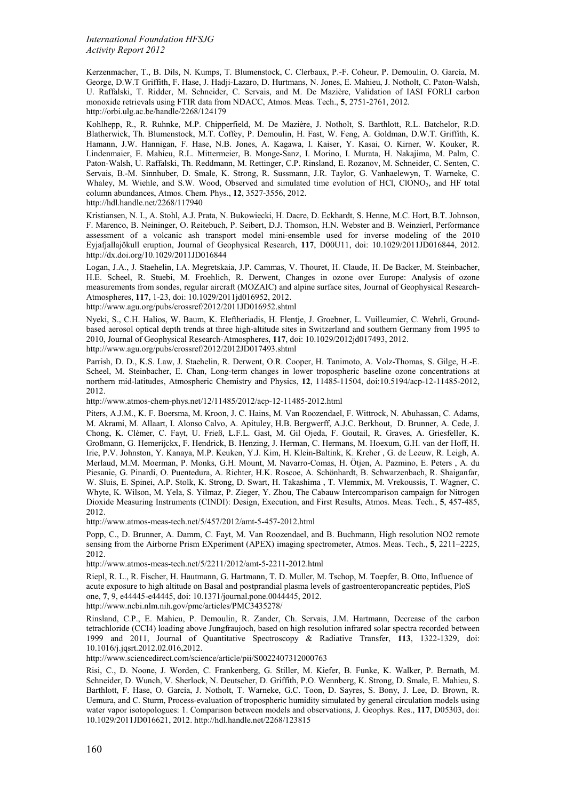Kerzenmacher, T., B. Dils, N. Kumps, T. Blumenstock, C. Clerbaux, P.-F. Coheur, P. Demoulin, O. García, M. George, D.W.T Griffith, F. Hase, J. Hadji-Lazaro, D. Hurtmans, N. Jones, E. Mahieu, J. Notholt, C. Paton-Walsh, U. Raffalski, T. Ridder, M. Schneider, C. Servais, and M. De Mazière, Validation of IASI FORLI carbon monoxide retrievals using FTIR data from NDACC, Atmos. Meas. Tech., **5**, 2751-2761, 2012. http://orbi.ulg.ac.be/handle/2268/124179

Kohlhepp, R., R. Ruhnke, M.P. Chipperfield, M. De Mazière, J. Notholt, S. Barthlott, R.L. Batchelor, R.D. Blatherwick, Th. Blumenstock, M.T. Coffey, P. Demoulin, H. Fast, W. Feng, A. Goldman, D.W.T. Griffith, K. Hamann, J.W. Hannigan, F. Hase, N.B. Jones, A. Kagawa, I. Kaiser, Y. Kasai, O. Kirner, W. Kouker, R. Lindenmaier, E. Mahieu, R.L. Mittermeier, B. Monge-Sanz, I. Morino, I. Murata, H. Nakajima, M. Palm, C. Paton-Walsh, U. Raffalski, Th. Reddmann, M. Rettinger, C.P. Rinsland, E. Rozanov, M. Schneider, C. Senten, C. Servais, B.-M. Sinnhuber, D. Smale, K. Strong, R. Sussmann, J.R. Taylor, G. Vanhaelewyn, T. Warneke, C. Whaley, M. Wiehle, and S.W. Wood, Observed and simulated time evolution of HCl, ClONO<sub>2</sub>, and HF total column abundances, Atmos. Chem. Phys., **12**, 3527-3556, 2012.

http://hdl.handle.net/2268/117940

Kristiansen, N. I., A. Stohl, A.J. Prata, N. Bukowiecki, H. Dacre, D. Eckhardt, S. Henne, M.C. Hort, B.T. Johnson, F. Marenco, B. Neininger, O. Reitebuch, P. Seibert, D.J. Thomson, H.N. Webster and B. Weinzierl, Performance assessment of a volcanic ash transport model mini-ensemble used for inverse modeling of the 2010 Eyjafjallajökull eruption, Journal of Geophysical Research, **117**, D00U11, doi: 10.1029/2011JD016844, 2012. http://dx.doi.org/10.1029/2011JD016844

Logan, J.A., J. Staehelin, I.A. Megretskaia, J.P. Cammas, V. Thouret, H. Claude, H. De Backer, M. Steinbacher, H.E. Scheel, R. Stuebi, M. Froehlich, R. Derwent, Changes in ozone over Europe: Analysis of ozone measurements from sondes, regular aircraft (MOZAIC) and alpine surface sites, Journal of Geophysical Research-Atmospheres, **117**, 1-23, doi: 10.1029/2011jd016952, 2012.

http://www.agu.org/pubs/crossref/2012/2011JD016952.shtml

Nyeki, S., C.H. Halios, W. Baum, K. Eleftheriadis, H. Flentje, J. Groebner, L. Vuilleumier, C. Wehrli, Groundbased aerosol optical depth trends at three high-altitude sites in Switzerland and southern Germany from 1995 to 2010, Journal of Geophysical Research-Atmospheres, **117**, doi: 10.1029/2012jd017493, 2012. http://www.agu.org/pubs/crossref/2012/2012JD017493.shtml

Parrish, D. D., K.S. Law, J. Staehelin, R. Derwent, O.R. Cooper, H. Tanimoto, A. Volz-Thomas, S. Gilge, H.-E. Scheel, M. Steinbacher, E. Chan, Long-term changes in lower tropospheric baseline ozone concentrations at northern mid-latitudes, Atmospheric Chemistry and Physics, **12**, 11485-11504, doi:10.5194/acp-12-11485-2012, 2012.

http://www.atmos-chem-phys.net/12/11485/2012/acp-12-11485-2012.html

Piters, A.J.M., K. F. Boersma, M. Kroon, J. C. Hains, M. Van Roozendael, F. Wittrock, N. Abuhassan, C. Adams, M. Akrami, M. Allaart, I. Alonso Calvo, A. Apituley, H.B. Bergwerff, A.J.C. Berkhout, D. Brunner, A. Cede, J. Chong, K. Clémer, C. Fayt, U. Frieß, L.F.L. Gast, M. Gil Ojeda, F. Goutail, R. Graves, A. Griesfeller, K. Großmann, G. Hemerijckx, F. Hendrick, B. Henzing, J. Herman, C. Hermans, M. Hoexum, G.H. van der Hoff, H. Irie, P.V. Johnston, Y. Kanaya, M.P. Keuken, Y.J. Kim, H. Klein-Baltink, K. Kreher , G. de Leeuw, R. Leigh, A. Merlaud, M.M. Moerman, P. Monks, G.H. Mount, M. Navarro-Comas, H. Ötjen, A. Pazmino, E. Peters , A. du Piesanie, G. Pinardi, O. Puentedura, A. Richter, H.K. Roscoe, A. Schönhardt, B. Schwarzenbach, R. Shaiganfar, W. Sluis, E. Spinei, A.P. Stolk, K. Strong, D. Swart, H. Takashima , T. Vlemmix, M. Vrekoussis, T. Wagner, C. Whyte, K. Wilson, M. Yela, S. Yilmaz, P. Zieger, Y. Zhou, The Cabauw Intercomparison campaign for Nitrogen Dioxide Measuring Instruments (CINDI): Design, Execution, and First Results, Atmos. Meas. Tech., **5**, 457-485, 2012.

http://www.atmos-meas-tech.net/5/457/2012/amt-5-457-2012.html

Popp, C., D. Brunner, A. Damm, C. Fayt, M. Van Roozendael, and B. Buchmann, High resolution NO2 remote sensing from the Airborne Prism EXperiment (APEX) imaging spectrometer, Atmos. Meas. Tech., **5**, 2211–2225, 2012.

http://www.atmos-meas-tech.net/5/2211/2012/amt-5-2211-2012.html

Riepl, R. L., R. Fischer, H. Hautmann, G. Hartmann, T. D. Muller, M. Tschop, M. Toepfer, B. Otto, Influence of acute exposure to high altitude on Basal and postprandial plasma levels of gastroenteropancreatic peptides, PloS one, **7**, 9, e44445-e44445, doi: 10.1371/journal.pone.0044445, 2012.

http://www.ncbi.nlm.nih.gov/pmc/articles/PMC3435278/

Rinsland, C.P., E. Mahieu, P. Demoulin, R. Zander, Ch. Servais, J.M. Hartmann, Decrease of the carbon tetrachloride (CCI4) loading above Jungfraujoch, based on high resolution infrared solar spectra recorded between 1999 and 2011, Journal of Quantitative Spectroscopy & Radiative Transfer, **113**, 1322-1329, doi: 10.1016/j.jqsrt.2012.02.016,2012.

http://www.sciencedirect.com/science/article/pii/S0022407312000763

Risi, C., D. Noone, J. Worden, C. Frankenberg, G. Stiller, M. Kiefer, B. Funke, K. Walker, P. Bernath, M. Schneider, D. Wunch, V. Sherlock, N. Deutscher, D. Griffith, P.O. Wennberg, K. Strong, D. Smale, E. Mahieu, S. Barthlott, F. Hase, O. García, J. Notholt, T. Warneke, G.C. Toon, D. Sayres, S. Bony, J. Lee, D. Brown, R. Uemura, and C. Sturm, Process-evaluation of tropospheric humidity simulated by general circulation models using water vapor isotopologues: 1. Comparison between models and observations, J. Geophys. Res., **117**, D05303, doi: 10.1029/2011JD016621, 2012. http://hdl.handle.net/2268/123815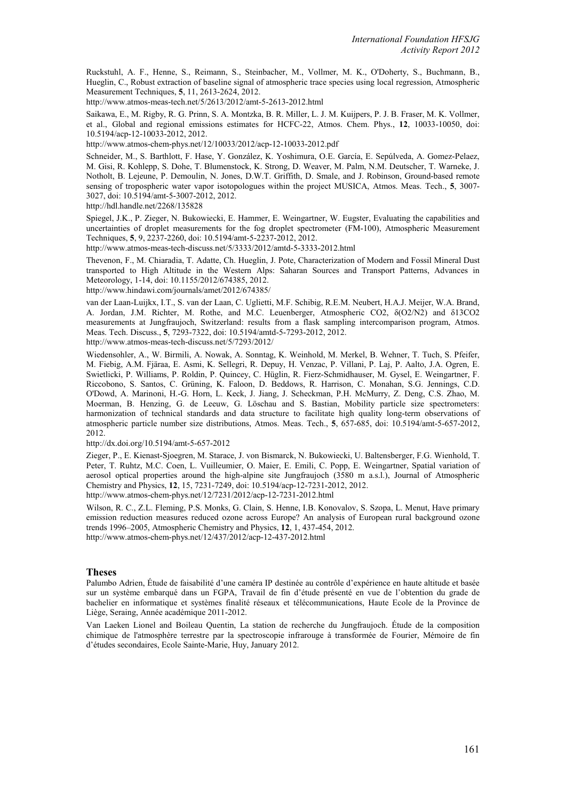Ruckstuhl, A. F., Henne, S., Reimann, S., Steinbacher, M., Vollmer, M. K., O'Doherty, S., Buchmann, B., Hueglin, C., Robust extraction of baseline signal of atmospheric trace species using local regression, Atmospheric Measurement Techniques, **5**, 11, 2613-2624, 2012.

http://www.atmos-meas-tech.net/5/2613/2012/amt-5-2613-2012.html

Saikawa, E., M. Rigby, R. G. Prinn, S. A. Montzka, B. R. Miller, L. J. M. Kuijpers, P. J. B. Fraser, M. K. Vollmer, et al., Global and regional emissions estimates for HCFC-22, Atmos. Chem. Phys., **12**, 10033-10050, doi: 10.5194/acp-12-10033-2012, 2012.

http://www.atmos-chem-phys.net/12/10033/2012/acp-12-10033-2012.pdf

Schneider, M., S. Barthlott, F. Hase, Y. González, K. Yoshimura, O.E. García, E. Sepúlveda, A. Gomez-Pelaez, M. Gisi, R. Kohlepp, S. Dohe, T. Blumenstock, K. Strong, D. Weaver, M. Palm, N.M. Deutscher, T. Warneke, J. Notholt, B. Lejeune, P. Demoulin, N. Jones, D.W.T. Griffith, D. Smale, and J. Robinson, Ground-based remote sensing of tropospheric water vapor isotopologues within the project MUSICA, Atmos. Meas. Tech., **5**, 3007- 3027, doi: 10.5194/amt-5-3007-2012, 2012.

http://hdl.handle.net/2268/135828

Spiegel, J.K., P. Zieger, N. Bukowiecki, E. Hammer, E. Weingartner, W. Eugster, Evaluating the capabilities and uncertainties of droplet measurements for the fog droplet spectrometer (FM-100), Atmospheric Measurement Techniques, **5**, 9, 2237-2260, doi: 10.5194/amt-5-2237-2012, 2012.

http://www.atmos-meas-tech-discuss.net/5/3333/2012/amtd-5-3333-2012.html

Thevenon, F., M. Chiaradia, T. Adatte, Ch. Hueglin, J. Pote, Characterization of Modern and Fossil Mineral Dust transported to High Altitude in the Western Alps: Saharan Sources and Transport Patterns, Advances in Meteorology, 1-14, doi: 10.1155/2012/674385, 2012. http://www.hindawi.com/journals/amet/2012/674385/

van der Laan-Luijkx, I.T., S. van der Laan, C. Uglietti, M.F. Schibig, R.E.M. Neubert, H.A.J. Meijer, W.A. Brand, A. Jordan, J.M. Richter, M. Rothe, and M.C. Leuenberger, Atmospheric CO2, δ(O2/N2) and δ13CO2 measurements at Jungfraujoch, Switzerland: results from a flask sampling intercomparison program, Atmos. Meas. Tech. Discuss., **5**, 7293-7322, doi: 10.5194/amtd-5-7293-2012, 2012.

http://www.atmos-meas-tech-discuss.net/5/7293/2012/

Wiedensohler, A., W. Birmili, A. Nowak, A. Sonntag, K. Weinhold, M. Merkel, B. Wehner, T. Tuch, S. Pfeifer, M. Fiebig, A.M. Fjäraa, E. Asmi, K. Sellegri, R. Depuy, H. Venzac, P. Villani, P. Laj, P. Aalto, J.A. Ogren, E. Swietlicki, P. Williams, P. Roldin, P. Quincey, C. Hüglin, R. Fierz-Schmidhauser, M. Gysel, E. Weingartner, F. Riccobono, S. Santos, C. Grüning, K. Faloon, D. Beddows, R. Harrison, C. Monahan, S.G. Jennings, C.D. O'Dowd, A. Marinoni, H.-G. Horn, L. Keck, J. Jiang, J. Scheckman, P.H. McMurry, Z. Deng, C.S. Zhao, M. Moerman, B. Henzing, G. de Leeuw, G. Löschau and S. Bastian, Mobility particle size spectrometers: harmonization of technical standards and data structure to facilitate high quality long-term observations of atmospheric particle number size distributions, Atmos. Meas. Tech., **5**, 657-685, doi: 10.5194/amt-5-657-2012, 2012.

http://dx.doi.org/10.5194/amt-5-657-2012

Zieger, P., E. Kienast-Sjoegren, M. Starace, J. von Bismarck, N. Bukowiecki, U. Baltensberger, F.G. Wienhold, T. Peter, T. Ruhtz, M.C. Coen, L. Vuilleumier, O. Maier, E. Emili, C. Popp, E. Weingartner, Spatial variation of aerosol optical properties around the high-alpine site Jungfraujoch (3580 m a.s.l.), Journal of Atmospheric Chemistry and Physics, **12**, 15, 7231-7249, doi: 10.5194/acp-12-7231-2012, 2012.

http://www.atmos-chem-phys.net/12/7231/2012/acp-12-7231-2012.html

Wilson, R. C., Z.L. Fleming, P.S. Monks, G. Clain, S. Henne, I.B. Konovalov, S. Szopa, L. Menut, Have primary emission reduction measures reduced ozone across Europe? An analysis of European rural background ozone trends 1996–2005, Atmospheric Chemistry and Physics, **12**, 1, 437-454, 2012. http://www.atmos-chem-phys.net/12/437/2012/acp-12-437-2012.html

### **Theses**

Palumbo Adrien, Étude de faisabilité d'une caméra IP destinée au contrôle d'expérience en haute altitude et basée sur un système embarqué dans un FGPA, Travail de fin d'étude présenté en vue de l'obtention du grade de bachelier en informatique et systèmes finalité réseaux et télécommunications, Haute Ecole de la Province de Liège, Seraing, Année académique 2011-2012.

Van Laeken Lionel and Boileau Quentin, La station de recherche du Jungfraujoch. Étude de la composition chimique de l'atmosphère terrestre par la spectroscopie infrarouge à transformée de Fourier, Mémoire de fin d'études secondaires, Ecole Sainte-Marie, Huy, January 2012.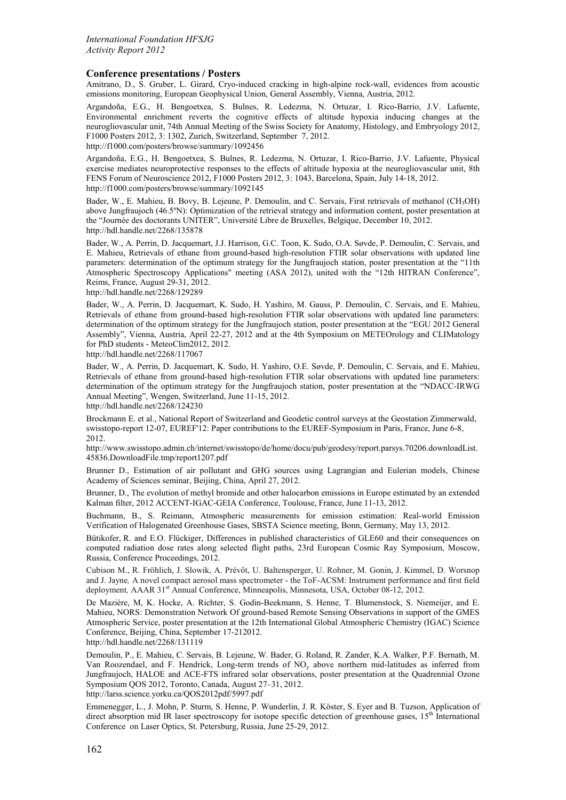### **Conference presentations / Posters**

Amitrano, D., S. Gruber, L. Girard, Cryo-induced cracking in high-alpine rock-wall, evidences from acoustic emissions monitoring, European Geophysical Union, General Assembly, Vienna, Austria, 2012.

Argandoña, E.G., H. Bengoetxea, S. Bulnes, R. Ledezma, N. Ortuzar, I. Rico-Barrio, J.V. Lafuente, Environmental enrichment reverts the cognitive effects of altitude hypoxia inducing changes at the neurogliovascular unit, 74th Annual Meeting of the Swiss Society for Anatomy, Histology, and Embryology 2012, F1000 Posters 2012, 3: 1302, Zurich, Switzerland, September 7, 2012. <http://f1000.com/posters/browse/summary/1092456>

Argandoña, E.G., H. Bengoetxea, S. Bulnes, R. Ledezma, N. Ortuzar, I. Rico-Barrio, J.V. Lafuente, Physical exercise mediates neuroprotective responses to the effects of altitude hypoxia at the neurogliovascular unit, 8th FENS Forum of Neuroscience 2012, F1000 Posters 2012, 3: 1043, Barcelona, Spain, July 14-18, 2012. <http://f1000.com/posters/browse/summary/1092145>

Bader, W., E. Mahieu, B. Bovy, B. Lejeune, P. Demoulin, and C. Servais, First retrievals of methanol (CH<sub>3</sub>OH) above Jungfraujoch (46.5ºN): Optimization of the retrieval strategy and information content, poster presentation at the "Journée des doctorants UNITER", Université Libre de Bruxelles, Belgique, December 10, 2012. http://hdl.handle.net/2268/135878

Bader, W., A. Perrin, D. Jacquemart, J.J. Harrison, G.C. Toon, K. Sudo, O.A. Søvde, P. Demoulin, C. Servais, and E. Mahieu, Retrievals of ethane from ground-based high-resolution FTIR solar observations with updated line parameters: determination of the optimum strategy for the Jungfraujoch station, poster presentation at the "11th Atmospheric Spectroscopy Applications" meeting (ASA 2012), united with the "12th HITRAN Conference", Reims, France, August 29-31, 2012.

http://hdl.handle.net/2268/129289

Bader, W., A. Perrin, D. Jacquemart, K. Sudo, H. Yashiro, M. Gauss, P. Demoulin, C. Servais, and E. Mahieu, Retrievals of ethane from ground-based high-resolution FTIR solar observations with updated line parameters: determination of the optimum strategy for the Jungfraujoch station, poster presentation at the "EGU 2012 General Assembly", Vienna, Austria, April 22-27, 2012 and at the 4th Symposium on METEOrology and CLIMatology for PhD students - MeteoClim2012, 2012. http://hdl.handle.net/2268/117067

Bader, W., A. Perrin, D. Jacquemart, K. Sudo, H. Yashiro, O.E. Søvde, P. Demoulin, C. Servais, and E. Mahieu, Retrievals of ethane from ground-based high-resolution FTIR solar observations with updated line parameters: determination of the optimum strategy for the Jungfraujoch station, poster presentation at the "NDACC-IRWG Annual Meeting", Wengen, Switzerland, June 11-15, 2012.

http://hdl.handle.net/2268/124230

Brockmann E. et al., National Report of Switzerland and Geodetic control surveys at the Geostation Zimmerwald, swisstopo-report 12-07, EUREF'12: Paper contributions to the EUREF-Symposium in Paris, France, June 6-8, 2012.

http://www.swisstopo.admin.ch/internet/swisstopo/de/home/docu/pub/geodesy/report.parsys.70206.downloadList. 45836.DownloadFile.tmp/report1207.pdf

Brunner D., Estimation of air pollutant and GHG sources using Lagrangian and Eulerian models, Chinese Academy of Sciences seminar, Beijing, China, April 27, 2012.

Brunner, D., The evolution of methyl bromide and other halocarbon emissions in Europe estimated by an extended Kalman filter, 2012 ACCENT-IGAC-GEIA Conference, Toulouse, France, June 11-13, 2012.

Buchmann, B., S. Reimann, Atmospheric measurements for emission estimation: Real-world Emission Verification of Halogenated Greenhouse Gases, SBSTA Science meeting, Bonn, Germany, May 13, 2012.

Bütikofer, R. and E.O. Flückiger, Differences in published characteristics of GLE60 and their consequences on computed radiation dose rates along selected flight paths, 23rd European Cosmic Ray Symposium, Moscow, Russia, Conference Proceedings, 2012.

Cubison M., R. Fröhlich, J. Slowik, A. Prévôt, U. Baltensperger, U. Rohner, M. Gonin, J. Kimmel, D. Worsnop and J. Jayne*,* A novel compact aerosol mass spectrometer - the ToF-ACSM: Instrument performance and first field deployment*,* AAAR 31st Annual Conference, Minneapolis, Minnesota, USA, October 08-12, 2012.

De Mazière, M, K. Hocke, A. Richter, S. Godin-Beekmann, S. Henne, T. Blumenstock, S. Niemeijer, and E. Mahieu, NORS: Demonstration Network Of ground-based Remote Sensing Observations in support of the GMES Atmospheric Service, poster presentation at the 12th International Global Atmospheric Chemistry (IGAC) Science Conference, Beijing, China, September 17-212012.

http://hdl.handle.net/2268/131119

Demoulin, P., E. Mahieu, C. Servais, B. Lejeune, W. Bader, G. Roland, R. Zander, K.A. Walker, P.F. Bernath, M. Van Roozendael, and F. Hendrick, Long-term trends of NOy above northern mid-latitudes as inferred from Jungfraujoch, HALOE and ACE-FTS infrared solar observations, poster presentation at the Quadrennial Ozone Symposium QOS 2012, Toronto, Canada, August 27–31, 2012.

http://larss.science.yorku.ca/QOS2012pdf/5997.pdf

Emmenegger, L., J. Mohn, P. Sturm, S. Henne, P. Wunderlin, J. R. Köster, S. Eyer and B. Tuzson, Application of direct absorption mid IR laser spectroscopy for isotope specific detection of greenhouse gases, 15<sup>th</sup> International Conference on Laser Optics, St. Petersburg, Russia, June 25-29, 2012.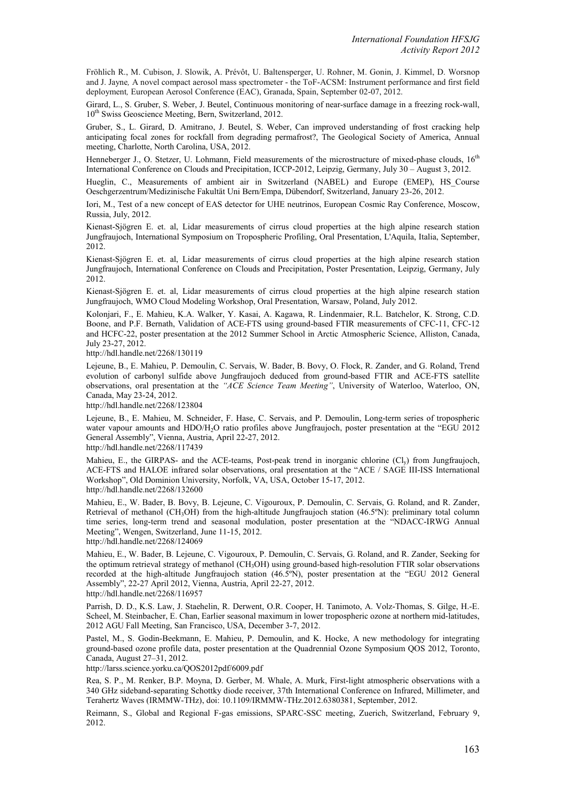Fröhlich R., M. Cubison, J. Slowik, A. Prévôt, U. Baltensperger, U. Rohner, M. Gonin, J. Kimmel, D. Worsnop and J. Jayne*,* A novel compact aerosol mass spectrometer - the ToF-ACSM: Instrument performance and first field deployment*,* European Aerosol Conference (EAC), Granada, Spain, September 02-07, 2012.

Girard, L., S. Gruber, S. Weber, J. Beutel, Continuous monitoring of near-surface damage in a freezing rock-wall, 10<sup>th</sup> Swiss Geoscience Meeting, Bern, Switzerland, 2012.

Gruber, S., L. Girard, D. Amitrano, J. Beutel, S. Weber, Can improved understanding of frost cracking help anticipating focal zones for rockfall from degrading permafrost?, The Geological Society of America, Annual meeting, Charlotte, North Carolina, USA, 2012.

Henneberger J., O. Stetzer, U. Lohmann, Field measurements of the microstructure of mixed-phase clouds,  $16<sup>th</sup>$ International Conference on Clouds and Precipitation, ICCP-2012, Leipzig, Germany, July 30 – August 3, 2012.

Hueglin, C., Measurements of ambient air in Switzerland (NABEL) and Europe (EMEP), HS\_Course Oeschgerzentrum/Medizinische Fakultät Uni Bern/Empa, Dübendorf, Switzerland, January 23-26, 2012.

Iori, M., Test of a new concept of EAS detector for UHE neutrinos, European Cosmic Ray Conference, Moscow, Russia, July, 2012.

Kienast-Sjögren E. et. al, Lidar measurements of cirrus cloud properties at the high alpine research station Jungfraujoch, International Symposium on Tropospheric Profiling, Oral Presentation, L'Aquila, Italia, September, 2012.

Kienast-Sjögren E. et. al, Lidar measurements of cirrus cloud properties at the high alpine research station Jungfraujoch, International Conference on Clouds and Precipitation, Poster Presentation, Leipzig, Germany, July 2012.

Kienast-Sjögren E. et. al, Lidar measurements of cirrus cloud properties at the high alpine research station Jungfraujoch, WMO Cloud Modeling Workshop, Oral Presentation, Warsaw, Poland, July 2012.

Kolonjari, F., E. Mahieu, K.A. Walker, Y. Kasai, A. Kagawa, R. Lindenmaier, R.L. Batchelor, K. Strong, C.D. Boone, and P.F. Bernath, Validation of ACE-FTS using ground-based FTIR measurements of CFC-11, CFC-12 and HCFC-22, poster presentation at the 2012 Summer School in Arctic Atmospheric Science, Alliston, Canada, July 23-27, 2012.

http://hdl.handle.net/2268/130119

Lejeune, B., E. Mahieu, P. Demoulin, C. Servais, W. Bader, B. Bovy, O. Flock, R. Zander, and G. Roland, Trend evolution of carbonyl sulfide above Jungfraujoch deduced from ground-based FTIR and ACE-FTS satellite observations, oral presentation at the *"ACE Science Team Meeting"*, University of Waterloo, Waterloo, ON, Canada, May 23-24, 2012.

http://hdl.handle.net/2268/123804

Lejeune, B., E. Mahieu, M. Schneider, F. Hase, C. Servais, and P. Demoulin, Long-term series of tropospheric water vapour amounts and HDO/H2O ratio profiles above Jungfraujoch, poster presentation at the "EGU 2012 General Assembly", Vienna, Austria, April 22-27, 2012.

http://hdl.handle.net/2268/117439

Mahieu, E., the GIRPAS- and the ACE-teams, Post-peak trend in inorganic chlorine (Cl<sub>y</sub>) from Jungfraujoch, ACE-FTS and HALOE infrared solar observations, oral presentation at the "ACE / SAGE III-ISS International Workshop", Old Dominion University, Norfolk, VA, USA, October 15-17, 2012. http://hdl.handle.net/2268/132600

Mahieu, E., W. Bader, B. Bovy, B. Lejeune, C. Vigouroux, P. Demoulin, C. Servais, G. Roland, and R. Zander, Retrieval of methanol (CH<sub>3</sub>OH) from the high-altitude Jungfraujoch station (46.5°N): preliminary total column time series, long-term trend and seasonal modulation, poster presentation at the "NDACC-IRWG Annual Meeting", Wengen, Switzerland, June 11-15, 2012.

http://hdl.handle.net/2268/124069

Mahieu, E., W. Bader, B. Lejeune, C. Vigouroux, P. Demoulin, C. Servais, G. Roland, and R. Zander, Seeking for the optimum retrieval strategy of methanol (CH<sub>3</sub>OH) using ground-based high-resolution FTIR solar observations recorded at the high-altitude Jungfraujoch station (46.5ºN), poster presentation at the "EGU 2012 General Assembly", 22-27 April 2012, Vienna, Austria, April 22-27, 2012. http://hdl.handle.net/2268/116957

Parrish, D. D., K.S. Law, J. Staehelin, R. Derwent, O.R. Cooper, H. Tanimoto, A. Volz-Thomas, S. Gilge, H.-E. Scheel, M. Steinbacher, E. Chan, Earlier seasonal maximum in lower tropospheric ozone at northern mid-latitudes, 2012 AGU Fall Meeting, San Francisco, USA, December 3-7, 2012.

Pastel, M., S. Godin-Beekmann, E. Mahieu, P. Demoulin, and K. Hocke, A new methodology for integrating ground-based ozone profile data, poster presentation at the Quadrennial Ozone Symposium QOS 2012, Toronto, Canada, August 27–31, 2012.

http://larss.science.yorku.ca/QOS2012pdf/6009.pdf

Rea, S. P., M. Renker, B.P. Moyna, D. Gerber, M. Whale, A. Murk, First-light atmospheric observations with a 340 GHz sideband-separating Schottky diode receiver, 37th International Conference on Infrared, Millimeter, and Terahertz Waves (IRMMW-THz), doi: 10.1109/IRMMW-THz.2012.6380381, September, 2012.

Reimann, S., Global and Regional F-gas emissions, SPARC-SSC meeting, Zuerich, Switzerland, February 9, 2012.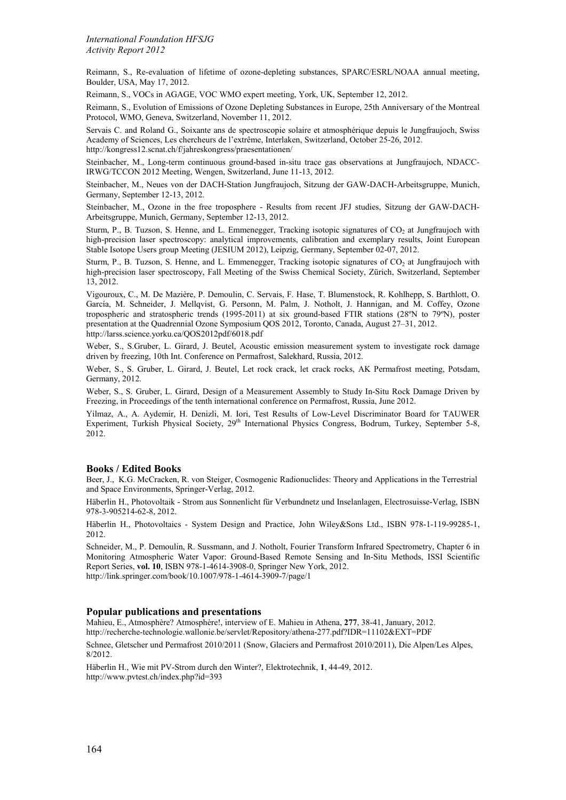Reimann, S., Re-evaluation of lifetime of ozone-depleting substances, SPARC/ESRL/NOAA annual meeting, Boulder, USA, May 17, 2012.

Reimann, S., VOCs in AGAGE, VOC WMO expert meeting, York, UK, September 12, 2012.

Reimann, S., Evolution of Emissions of Ozone Depleting Substances in Europe, 25th Anniversary of the Montreal Protocol, WMO, Geneva, Switzerland, November 11, 2012.

Servais C. and Roland G., Soixante ans de spectroscopie solaire et atmosphérique depuis le Jungfraujoch, Swiss Academy of Sciences, Les chercheurs de l'extrême, Interlaken, Switzerland, October 25-26, 2012. http://kongress12.scnat.ch/f/jahreskongress/praesentationen/

Steinbacher, M., Long-term continuous ground-based in-situ trace gas observations at Jungfraujoch, NDACC-IRWG/TCCON 2012 Meeting, Wengen, Switzerland, June 11-13, 2012.

Steinbacher, M., Neues von der DACH-Station Jungfraujoch, Sitzung der GAW-DACH-Arbeitsgruppe, Munich, Germany, September 12-13, 2012.

Steinbacher, M., Ozone in the free troposphere - Results from recent JFJ studies, Sitzung der GAW-DACH-Arbeitsgruppe, Munich, Germany, September 12-13, 2012.

Sturm, P., B. Tuzson, S. Henne, and L. Emmenegger, Tracking isotopic signatures of CO<sub>2</sub> at Jungfraujoch with high-precision laser spectroscopy: analytical improvements, calibration and exemplary results, Joint European Stable Isotope Users group Meeting (JESIUM 2012), Leipzig, Germany, September 02-07, 2012.

Sturm, P., B. Tuzson, S. Henne, and L. Emmenegger, Tracking isotopic signatures of CO<sub>2</sub> at Jungfraujoch with high-precision laser spectroscopy, Fall Meeting of the Swiss Chemical Society, Zürich, Switzerland, September 13, 2012.

Vigouroux, C., M. De Mazière, P. Demoulin, C. Servais, F. Hase, T. Blumenstock, R. Kohlhepp, S. Barthlott, O. García, M. Schneider, J. Mellqvist, G. Personn, M. Palm, J. Notholt, J. Hannigan, and M. Coffey, Ozone tropospheric and stratospheric trends (1995-2011) at six ground-based FTIR stations (28ºN to 79ºN), poster presentation at the Quadrennial Ozone Symposium QOS 2012, Toronto, Canada, August 27–31, 2012. http://larss.science.yorku.ca/QOS2012pdf/6018.pdf

Weber, S., S.Gruber, L. Girard, J. Beutel, Acoustic emission measurement system to investigate rock damage driven by freezing, 10th Int. Conference on Permafrost, Salekhard, Russia, 2012.

Weber, S., S. Gruber, L. Girard, J. Beutel, Let rock crack, let crack rocks, AK Permafrost meeting, Potsdam, Germany, 2012.

Weber, S., S. Gruber, L. Girard, Design of a Measurement Assembly to Study In-Situ Rock Damage Driven by Freezing, in Proceedings of the tenth international conference on Permafrost, Russia, June 2012.

Yilmaz, A., A. Aydemir, H. Denizli, M. Iori, Test Results of Low-Level Discriminator Board for TAUWER Experiment, Turkish Physical Society, 29<sup>th</sup> International Physics Congress, Bodrum, Turkey, September 5-8, 2012.

### **Books / Edited Books**

Beer, J., K.G. McCracken, R. von Steiger, Cosmogenic Radionuclides: Theory and Applications in the Terrestrial and Space Environments, Springer-Verlag, 2012.

Häberlin H., Photovoltaik - Strom aus Sonnenlicht für Verbundnetz und Inselanlagen, Electrosuisse-Verlag, ISBN 978-3-905214-62-8, 2012.

Häberlin H., Photovoltaics - System Design and Practice, John Wiley&Sons Ltd., ISBN 978-1-119-99285-1, 2012.

Schneider, M., P. Demoulin, R. Sussmann, and J. Notholt, Fourier Transform Infrared Spectrometry, Chapter 6 in Monitoring Atmospheric Water Vapor: Ground-Based Remote Sensing and In-Situ Methods, ISSI Scientific Report Series, **vol. 10**, ISBN 978-1-4614-3908-0, Springer New York, 2012. <http://link.springer.com/book/10.1007/978-1-4614-3909-7/page/1>

# **Popular publications and presentations**

Mahieu, E., Atmosphère? Atmosphère!, interview of E. Mahieu in Athena, **277**, 38-41, January, 2012. http://recherche-technologie.wallonie.be/servlet/Repository/athena-277.pdf?IDR=11102&EXT=PDF

Schnee, Gletscher und Permafrost 2010/2011 (Snow, Glaciers and Permafrost 2010/2011), Die Alpen/Les Alpes, 8/2012.

Häberlin H., Wie mit PV-Strom durch den Winter?, Elektrotechnik, **1**, 44-49, 2012. http://www.pvtest.ch/index.php?id=393